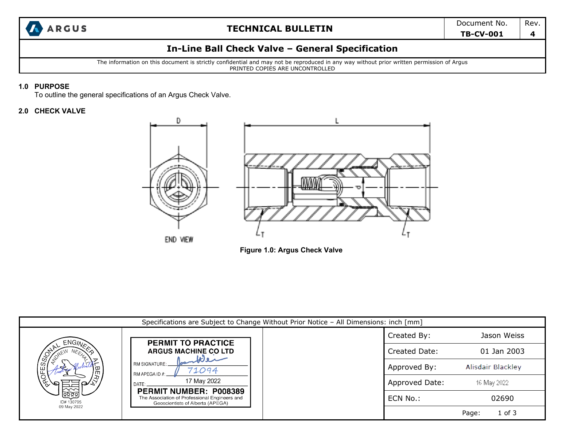

# **In-Line Ball Check Valve – General Specification**

The information on this document is strictly confidential and may not be reproduced in any way without prior written permission of Argus PRINTED COPIES ARE UNCONTROLLED

#### **1.0 PURPOSE**

To outline the general specifications of an Argus Check Valve.

### **2.0 CHECK VALVE**



**Figure 1.0: Argus Check Valve** 

| Specifications are Subject to Change Without Prior Notice - All Dimensions: inch [mm] |                                                                                                                                                                                                                                      |  |                |                          |  |  |
|---------------------------------------------------------------------------------------|--------------------------------------------------------------------------------------------------------------------------------------------------------------------------------------------------------------------------------------|--|----------------|--------------------------|--|--|
| <b>ENGINA</b>                                                                         | <b>PERMIT TO PRACTICE</b>                                                                                                                                                                                                            |  | Created By:    | Jason Weiss              |  |  |
| OFESSIO<br>$\mathcal{F}$<br>$\mathbf{a}$<br><u>ଜନନ୍ମ</u><br>ID# 130795                | <b>ARGUS MACHINE CO LTD</b><br>سدوللا<br>RM SIGNATURE:<br>71094<br>RM APEGA ID #:<br>17 May 2022<br>DATF <sup>.</sup><br>PERMIT NUMBER: P008389<br>The Association of Professional Engineers and<br>Geoscientists of Alberta (APEGA) |  | Created Date:  | 01 Jan 2003              |  |  |
|                                                                                       |                                                                                                                                                                                                                                      |  | Approved By:   | <b>Alisdair Blackley</b> |  |  |
|                                                                                       |                                                                                                                                                                                                                                      |  | Approved Date: | 16 May 2022              |  |  |
|                                                                                       |                                                                                                                                                                                                                                      |  | ECN No.:       | 02690                    |  |  |
| 09 May 2022                                                                           |                                                                                                                                                                                                                                      |  |                | $1$ of $3$<br>Page:      |  |  |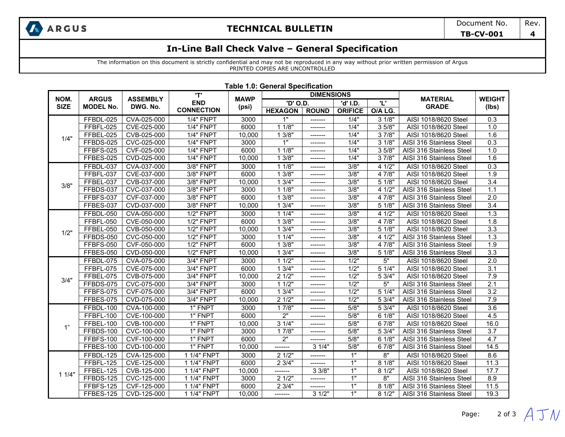

## **In-Line Ball Check Valve – General Specification**

The information on this document is strictly confidential and may not be reproduced in any way without prior written permission of Argus PRINTED COPIES ARE UNCONTROLLED

|             | <b>ARGUS</b><br><b>MODEL No.</b> | <b>ASSEMBLY</b><br>DWG. No. | <b>'T'</b><br><b>END</b><br>(psi)<br><b>CONNECTION</b> | <b>MAWP</b> | <b>DIMENSIONS</b> |              |                 |                 |                          |                  |
|-------------|----------------------------------|-----------------------------|--------------------------------------------------------|-------------|-------------------|--------------|-----------------|-----------------|--------------------------|------------------|
| NOM.        |                                  |                             |                                                        |             | 'D' O.D.          |              | 'n.<br>'d' I.D. |                 | <b>MATERIAL</b>          | <b>WEIGHT</b>    |
| <b>SIZE</b> |                                  |                             |                                                        |             | <b>HEXAGON</b>    | <b>ROUND</b> | <b>ORIFICE</b>  | O/A LG.         | <b>GRADE</b>             | (Ibs)            |
|             | FFBDL-025                        | CVA-025-000                 | $1/4$ " FNPT                                           | 3000        | 1"                | -------      | 1/4"            | 31/8"           | AISI 1018/8620 Steel     | 0.3              |
|             | FFBFL-025                        | CVE-025-000                 | 1/4" FNPT                                              | 6000        | 11/8"             | --------     | 1/4"            | 35/8"           | AISI 1018/8620 Steel     | 1.0              |
| 1/4"        | FFBEL-025                        | CVB-025-000                 | 1/4" FNPT                                              | 10,000      | 13/8"             | -------      | 1/4"            | 37/8"           | AISI 1018/8620 Steel     | 1.6              |
|             | FFBDS-025                        | CVC-025-000                 | 1/4" FNPT                                              | 3000        | $\overline{1}$    | -------      | 1/4"            | $3 \frac{1}{8}$ | AISI 316 Stainless Steel | $\overline{0.3}$ |
|             | FFBFS-025                        | CVF-025-000                 | <b>1/4" FNPT</b>                                       | 6000        | 11/8"             | -------      | 1/4"            | 35/8"           | AISI 316 Stainless Steel | 1.0              |
|             | FFBES-025                        | CVD-025-000                 | <b>1/4" FNPT</b>                                       | 10,000      | 13/8"             | --------     | 1/4"            | 3 7/8"          | AISI 316 Stainless Steel | 1.6              |
|             | FFBDL-037                        | CVA-037-000                 | <b>3/8" FNPT</b>                                       | 3000        | 11/8"             | -------      | 3/8"            | 4 1/2"          | AISI 1018/8620 Steel     | $\overline{0.3}$ |
|             | FFBFL-037                        | CVE-037-000                 | <b>3/8" FNPT</b>                                       | 6000        | 13/8"             | -------      | 3/8"            | 4 7/8"          | AISI 1018/8620 Steel     | 1.9              |
|             | FFBEL-037                        | CVB-037-000                 | 3/8" FNPT                                              | 10,000      | 13/4"             | -------      | 3/8"            | 5 1/8"          | AISI 1018/8620 Steel     | 3.4              |
| 3/8"        | FFBDS-037                        | CVC-037-000                 | 3/8" FNPT                                              | 3000        | 11/8"             | --------     | 3/8"            | 4 1/2"          | AISI 316 Stainless Steel | 1.1              |
|             | FFBFS-037                        | CVF-037-000                 | <b>3/8" FNPT</b>                                       | 6000        | 13/8"             | -------      | 3/8"            | 4 7/8"          | AISI 316 Stainless Steel | 2.0              |
|             | FFBES-037                        | CVD-037-000                 | <b>3/8" FNPT</b>                                       | 10.000      | 13/4"             | -------      | 3/8"            | 5 1/8"          | AISI 316 Stainless Steel | $\overline{3.4}$ |
|             | FFBDL-050                        | CVA-050-000                 | <b>1/2" FNPT</b>                                       | 3000        | 11/4"             | -------      | 3/8"            | 4 1/2"          | AISI 1018/8620 Steel     | 1.3              |
|             | FFBFL-050                        | CVE-050-000                 | <b>1/2" FNPT</b>                                       | 6000        | 13/8"             | -------      | 3/8"            | 4 7/8"          | AISI 1018/8620 Steel     | 1.8              |
|             | FFBEL-050                        | CVB-050-000                 | <b>1/2" FNPT</b>                                       | 10,000      | 13/4"             | -------      | 3/8"            | 5 1/8"          | AISI 1018/8620 Steel     | $\overline{3.3}$ |
| 1/2"        | FFBDS-050                        | CVC-050-000                 | <b>1/2" FNPT</b>                                       | 3000        | 11/4"             | -------      | 3/8"            | 4 1/2"          | AISI 316 Stainless Steel | 1.3              |
|             | FFBFS-050                        | CVF-050-000                 | <b>1/2" FNPT</b>                                       | 6000        | 13/8"             | -------      | 3/8"            | 4 7/8"          | AISI 316 Stainless Steel | 1.9              |
|             | FFBES-050                        | CVD-050-000                 | <b>1/2" FNPT</b>                                       | 10.000      | 13/4"             | -------      | 3/8"            | 5 1/8"          | AISI 316 Stainless Steel | $\overline{3.3}$ |
|             | FFBDL-075                        | CVA-075-000                 | 3/4" FNPT                                              | 3000        | 11/2"             | -------      | 1/2"            | 5"              | AISI 1018/8620 Steel     | 2.0              |
|             | FFBFL-075                        | CVE-075-000                 | 3/4" FNPT                                              | 6000        | 13/4"             | --------     | $\frac{1}{2}$   | 5 1/4"          | AISI 1018/8620 Steel     | $\overline{3.1}$ |
| 3/4"        | FFBEL-075                        | CVB-075-000                 | 3/4" FNPT                                              | 10,000      | 21/2"             | -------      | $\frac{1}{2}$   | 5 3/4"          | AISI 1018/8620 Steel     | 7.9              |
|             | FFBDS-075                        | CVC-075-000                 | 3/4" FNPT                                              | 3000        | 11/2"             | -------      | $\frac{1}{2}$   | 5"              | AISI 316 Stainless Steel | 2.1              |
|             | FFBFS-075                        | CVF-075-000                 | 3/4" FNPT                                              | 6000        | 13/4"             | -------      | 1/2"            | 5 1/4"          | AISI 316 Stainless Steel | 3.2              |
|             | FFBES-075                        | CVD-075-000                 | 3/4" FNPT                                              | 10.000      | 21/2"             | --------     | 1/2"            | 53/4"           | AISI 316 Stainless Steel | 7.9              |
|             | FFBDL-100                        | CVA-100-000                 | 1" FNPT                                                | 3000        | 17/8"             | -------      | 5/8"            | 5 3/4"          | AISI 1018/8620 Steel     | $\overline{3.6}$ |
|             | FFBFL-100                        | CVE-100-000                 | 1" FNPT                                                | 6000        | $\overline{2}$ "  | -------      | 5/8"            | 6 1/8"          | AISI 1018/8620 Steel     | 4.5              |
| 1"          | FFBEL-100                        | CVB-100-000                 | 1" FNPT                                                | 10,000      | $3 \frac{1}{4}$   | -------      | 5/8"            | 67/8"           | AISI 1018/8620 Steel     | 16.0             |
|             | FFBDS-100                        | CVC-100-000                 | 1" FNPT                                                | 3000        | 17/8"             | -------      | 5/8"            | 5 3/4"          | AISI 316 Stainless Steel | $\overline{3.7}$ |
|             | FFBFS-100                        | CVF-100-000                 | 1" FNPT                                                | 6000        | $\overline{2}$    | -------      | 5/8"            | 61/8"           | AISI 316 Stainless Steel | 4.7              |
|             | FFBES-100                        | CVD-100-000                 | 1" FNPT                                                | 10,000      | -------           | 31/4"        | 5/8"            | 6 7/8"          | AISI 316 Stainless Steel | 14.5             |
|             | FFBDL-125                        | CVA-125-000                 | 1 1/4" FNPT                                            | 3000        | 21/2"             | -------      | 1"              | 8"              | AISI 1018/8620 Steel     | 8.6              |
| 11/4"       | FFBFL-125                        | CVE-125-000                 | 1 1/4" FNPT                                            | 6000        | 2 3/4"            | -------      | 1"              | 81/8"           | AISI 1018/8620 Steel     | 11.3             |
|             | FFBEL-125                        | CVB-125-000                 | 1 1/4" FNPT                                            | 10,000      | -------           | 33/8"        | 1"              | $8 \sqrt{1/2}$  | AISI 1018/8620 Steel     | 17.7             |
|             | FFBDS-125                        | CVC-125-000                 | 1 1/4" FNPT                                            | 3000        | 21/2"             | -------      | 1"              | 8"              | AISI 316 Stainless Steel | 8.9              |
|             | FFBFS-125                        | CVF-125-000                 | 1 1/4" FNPT                                            | 6000        | 2 3/4"            | -------      | 1"              | 81/8"           | AISI 316 Stainless Steel | 11.5             |
|             | FFBES-125                        | CVD-125-000                 | 1 1/4" FNPT                                            | 10.000      | -------           | 31/2"        | 1"              | 81/2"           | AISI 316 Stainless Steel | 19.3             |

#### **Table 1.0: General Specification**

Page: 2 of 3